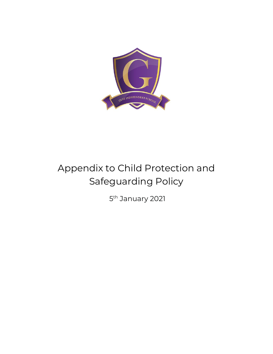

# Appendix to Child Protection and Safeguarding Policy

5<sup>th</sup> January 2021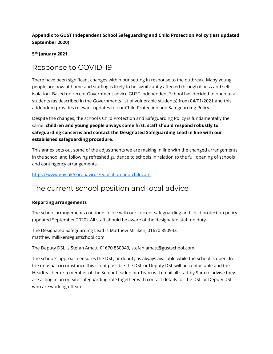#### **Appendix to GUST Independent School Safeguarding and Child Protection Policy (last updated September 2020)**

**5 th January 2021**

### Response to COVID-19

There have been significant changes within our setting in response to the outbreak. Many young people are now at home and staffing is likely to be significantly affected through illness and selfisolation. Based on recent Government advice GUST Independent School has decided to open to all students (as described in the Governments list of vulnerable students) from 04/01/2021 and this addendum provides relevant updates to our Child Protection and Safeguarding Policy.

Despite the changes, the school's Child Protection and Safeguarding Policy is fundamentally the same: **children and young people always come first, staff should respond robustly to safeguarding concerns and contact the Designated Safeguarding Lead in line with our established safeguarding procedure**.

This annex sets out some of the adjustments we are making in line with the changed arrangements in the school and following refreshed guidance to schools in relation to the full opening of schools and contingency arrangements.

#### <https://www.gov.uk/coronavirus/education-and-childcare>

### The current school position and local advice

#### **Reporting arrangements**

The school arrangements continue in line with our current safeguarding and child protection policy (updated September 2020). All staff should be aware of the designated staff on duty.

The Designated Safeguarding Lead is Matthew Milliken, 01670 850943, matthew.milliken@gustschool.com

The Deputy DSL is Stefan Amatt, 01670 850943, stefan.amatt@gustschool.com

The school's approach ensures the DSL, or deputy, is always available while the school is open. In the unusual circumstance this is not possible the DSL or Deputy DSL will be contactable and the Headteacher or a member of the Senior Leadership Team will email all staff by 9am to advise they are acting in an on-site safeguarding role together with contact details for the DSL or Deputy DSL who are working off-site.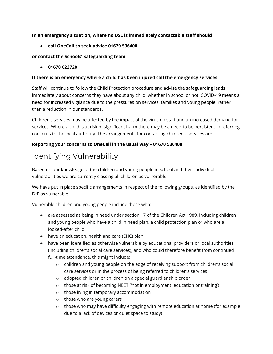#### **In an emergency situation, where no DSL is immediately contactable staff should**

● **call OneCall to seek advice 01670 536400**

#### **or contact the Schools' Safeguarding team**

● **01670 622720** 

#### **If there is an emergency where a child has been injured call the emergency services**.

Staff will continue to follow the Child Protection procedure and advise the safeguarding leads immediately about concerns they have about any child, whether in school or not. COVID-19 means a need for increased vigilance due to the pressures on services, families and young people, rather than a reduction in our standards.

Children's services may be affected by the impact of the virus on staff and an increased demand for services. Where a child is at risk of significant harm there may be a need to be persistent in referring concerns to the local authority. The arrangements for contacting children's services are:

#### **Reporting your concerns to OneCall in the usual way – 01670 536400**

# Identifying Vulnerability

Based on our knowledge of the children and young people in school and their individual vulnerabilities we are currently classing all children as vulnerable.

We have put in place specific arrangements in respect of the following groups, as identified by the DfE as vulnerable

Vulnerable children and young people include those who:

- are assessed as being in need under section 17 of the Children Act 1989, including children and young people who have a child in need plan, a child protection plan or who are a looked-after child
- have an education, health and care (EHC) plan
- have been identified as otherwise vulnerable by educational providers or local authorities (including children's social care services), and who could therefore benefit from continued full-time attendance, this might include:
	- $\circ$  children and young people on the edge of receiving support from children's social care services or in the process of being referred to children's services
	- o adopted children or children on a special guardianship order
	- o those at risk of becoming NEET ('not in employment, education or training')
	- o those living in temporary accommodation
	- o those who are young carers
	- $\circ$  those who may have difficulty engaging with remote education at home (for example due to a lack of devices or quiet space to study)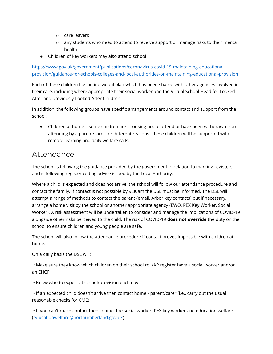- o care leavers
- $\circ$  any students who need to attend to receive support or manage risks to their mental health
- Children of key workers may also attend school

[https://www.gov.uk/government/publications/coronavirus-covid-19-maintaining-educational](https://www.gov.uk/government/publications/coronavirus-covid-19-maintaining-educational-provision/guidance-for-schools-colleges-and-local-authorities-on-maintaining-educational-provision)[provision/guidance-for-schools-colleges-and-local-authorities-on-maintaining-educational-provision](https://www.gov.uk/government/publications/coronavirus-covid-19-maintaining-educational-provision/guidance-for-schools-colleges-and-local-authorities-on-maintaining-educational-provision)

Each of these children has an individual plan which has been shared with other agencies involved in their care, including where appropriate their social worker and the Virtual School Head for Looked After and previously Looked After Children.

In addition, the following groups have specific arrangements around contact and support from the school.

• Children at home – some children are choosing not to attend or have been withdrawn from attending by a parent/carer for different reasons. These children will be supported with remote learning and daily welfare calls.

### Attendance

The school is following the [guidance provided by](https://www.gov.uk/government/publications/coronavirus-covid-19-attendance-recording-for-educational-settings/process-for-recording-attendance-and-using-the-educational-setting-status-form) the government in relation to marking registers and is following [register coding advice](http://northumberlandeducation.co.uk/wp-content/uploads/2020/06/Register-coding-from-01.06.20.pdf) issued by the Local Authority.

Where a child is expected and does not arrive, the school will follow our attendance procedure and contact the family. If contact is not possible by 9:30am the DSL must be informed. The DSL will attempt a range of methods to contact the parent (email, Arbor key contacts) but if necessary, arrange a home visit by the school or another appropriate agency (EWO, PEX Key Worker, Social Worker). A risk assessment will be undertaken to consider and manage the implications of COVID-19 alongside other risks perceived to the child. The risk of COVID-19 **does not override** the duty on the school to ensure children and young people are safe.

The school will also follow the attendance procedure if contact proves impossible with children at home.

On a daily basis the DSL will:

• Make sure they know which children on their school roll/AP register have a social worker and/or an EHCP

• Know who to expect at school/provision each day

• If an expected child doesn't arrive then contact home - parent/carer (i.e., carry out the usual reasonable checks for CME)

• If you can't make contact then contact the social worker, PEX key worker and education welfare [\(educationwelfare@northumberland.gov.uk\)](mailto:educationwelfare@northumberland.gov.uk)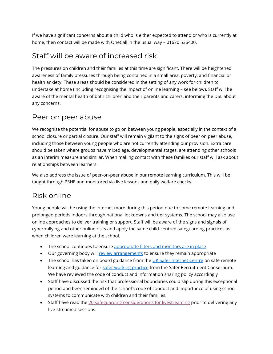If we have significant concerns about a child who is either expected to attend or who is currently at home, then contact will be made with OneCall in the usual way – 01670 536400.

### Staff will be aware of increased risk

The pressures on children and their families at this time are significant. There will be heightened awareness of family pressures through being contained in a small area, poverty, and financial or health anxiety. These areas should be considered in the setting of any work for children to undertake at home (including recognising the impact of online learning – see below). Staff will be aware of the mental health of both children and their parents and carers, informing the DSL about any concerns.

### Peer on peer abuse

We recognise the potential for abuse to go on between young people, especially in the context of a school closure or partial closure. Our staff will remain vigilant to the signs of peer on peer abuse, including those between young people who are not currently attending our provision. Extra care should be taken where groups have mixed age, developmental stages, are attending other schools as an interim measure and similar. When making contact with these families our staff will ask about relationships between learners.

We also address the issue of peer-on-peer abuse in our remote learning curriculum. This will be taught through PSHE and monitored via live lessons and daily welfare checks.

# Risk online

Young people will be using the internet more during this period due to some remote learning and prolonged periods indoors through national lockdowns and tier systems. The school may also use online approaches to deliver training or support. Staff will be aware of the signs and signals of cyberbullying and other online risks and apply the same child-centred safeguarding practices as when children were learning at the school.

- The school continues to ensure [appropriate filters and monitors are in place](https://www.saferinternet.org.uk/advice-centre/teachers-and-school-staff/appropriate-filtering-and-monitoring)
- Our governing body wil[l review arrangements](https://www.gov.uk/government/publications/online-safety-in-schools-and-colleges-questions-from-the-governing-board) to ensure they remain appropriate
- The school has taken on board guidance from the [UK Safer Internet Centre](https://swgfl.org.uk/resources/safe-remote-learning/) on safe remote learning and guidance for [safer working practice](https://www.saferrecruitmentconsortium.org/GSWP%20Sept%202019.pdf) from the Safer Recruitment Consortium. We have reviewed the code of conduct and information sharing policy accordingly
- Staff have discussed the risk that professional boundaries could slip during this exceptional period and been reminded of the school's code of conduct and importance of using school systems to communicate with children and their families.
- Staff have read the [20 safeguarding considerations for livestreaming](https://static.lgfl.net/LgflNet/downloads/digisafe/Safe-Lessons-by-Video-and-Livestream.pdf) prior to delivering any live-streamed sessions.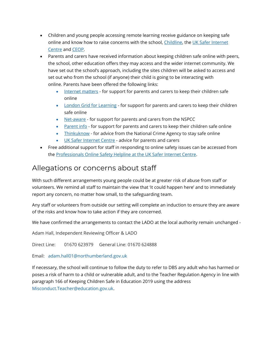- Children and young people accessing remote learning receive guidance on keeping safe online and know how to raise concerns with the school, [Childline,](https://www.childline.org.uk/?utm_source=google&utm_medium=cpc&utm_campaign=UK_GO_S_B_BND_Grant_Childline_Information&utm_term=role_of_childline&gclsrc=aw.ds&&gclid=EAIaIQobChMIlfLRh-ez6AIVRrDtCh1N9QR2EAAYASAAEgLc-vD_BwE&gclsrc=aw.ds) th[e UK Safer Internet](https://reportharmfulcontent.com/)  [Centre](https://reportharmfulcontent.com/) and [CEOP.](https://www.ceop.police.uk/safety-centre/)
- Parents and carers have received information about keeping children safe online with peers, the school, other education offers they may access and the wider internet community. We have set out the school's approach, including the sites children will be asked to access and set out who from the school (if anyone) their child is going to be interacting with online. Parents have been offered the following links:
	- [Internet matters](https://www.internetmatters.org/?gclid=EAIaIQobChMIktuA5LWK2wIVRYXVCh2afg2aEAAYASAAEgIJ5vD_BwE) for support for parents and carers to keep their children safe online
	- [London Grid for Learning](http://www.lgfl.net/online-safety/) for support for parents and carers to keep their children safe online
	- [Net-aware](https://www.net-aware.org.uk/) for support for parents and carers from the NSPCC
	- [Parent info](https://parentinfo.org/) for support for parents and carers to keep their children safe online
	- [Thinkuknow](http://www.thinkuknow.co.uk/) for advice from the National Crime Agency to stay safe online
	- [UK Safer Internet Centre](https://www.saferinternet.org.uk/advice-centre/parents-and-carers) advice for parents and carers
- Free additional support for staff in responding to online safety issues can be accessed from the [Professionals Online Safety Helpline at the UK Safer Internet Centre.](https://www.saferinternet.org.uk/helpline/professionals-online-safety-helpline)

### Allegations or concerns about staff

With such different arrangements young people could be at greater risk of abuse from staff or volunteers. We remind all staff to maintain the view that 'it could happen here' and to immediately report any concern, no matter how small, to the safeguarding team.

Any staff or volunteers from outside our setting will complete an induction to ensure they are aware of the risks and know how to take action if they are concerned.

We have confirmed the arrangements to contact the LADO at the local authority remain unchanged -

Adam Hall, Independent Reviewing Officer & LADO

Direct Line: 01670 623979 General Line: 01670 624888

Email: [adam.hall01@northumberland.gov.uk](mailto:adam.hall01@northumberland.gov.uk) 

If necessary, the school will continue to follow the duty to refer to DBS any adult who has harmed or poses a risk of harm to a child or vulnerable adult, and to the Teacher Regulation Agency in line with paragraph 166 of Keeping Children Safe in Education 2019 using the address [Misconduct.Teacher@education.gov.uk.](mailto:Misconduct.Teacher@education.gov.uk)